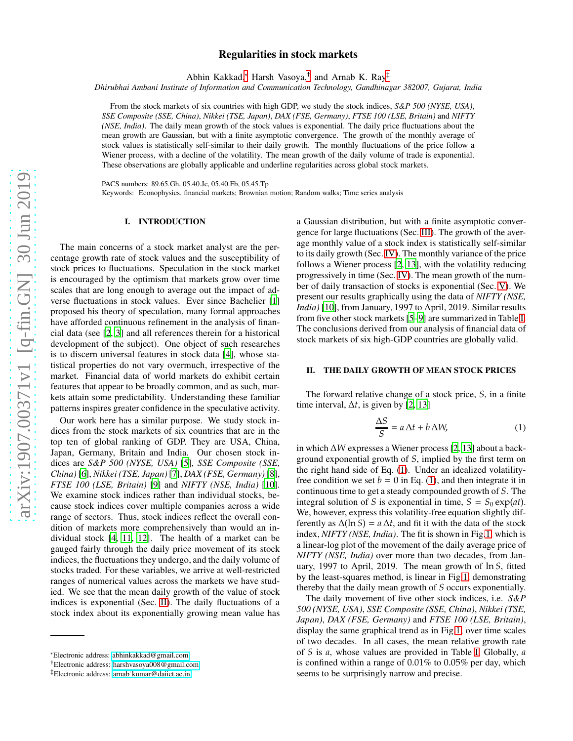# Regularities in stock markets

Abhin Kakkad,[∗](#page-0-0) Harsh Vasoya,[†](#page-0-1) and Arnab K. Ray[‡](#page-0-2)

*Dhirubhai Ambani Institute of Information and Communication Technology, Gandhinagar 382007, Gujarat, India*

From the stock markets of six countries with high GDP, we study the stock indices, *S&P 500 (NYSE, USA)*, *SSE Composite (SSE, China)*, *Nikkei (TSE, Japan)*, *DAX (FSE, Germany)*, *FTSE 100 (LSE, Britain)* and *NIFTY (NSE, India)*. The daily mean growth of the stock values is exponential. The daily price fluctuations about the mean growth are Gaussian, but with a finite asymptotic convergence. The growth of the monthly average of stock values is statistically self-similar to their daily growth. The monthly fluctuations of the price follow a Wiener process, with a decline of the volatility. The mean growth of the daily volume of trade is exponential. These observations are globally applicable and underline regularities across global stock markets.

PACS numbers: 89.65.Gh, 05.40.Jc, 05.40.Fb, 05.45.Tp

Keywords: Econophysics, financial markets; Brownian motion; Random walks; Time series analysis

## I. INTRODUCTION

The main concerns of a stock market analyst are the percentage growth rate of stock values and the susceptibility of stock prices to fluctuations. Speculation in the stock market is encouraged by the optimism that markets grow over time scales that are long enough to average out the impact of adverse fluctuations in stock values. Ever since Bachelier [\[1\]](#page-3-0) proposed his theory of speculation, many formal approaches have afforded continuous refinement in the analysis of financial data (see [\[2](#page-3-1), [3\]](#page-3-2) and all references therein for a historical development of the subject). One object of such researches is to discern universal features in stock data [\[4](#page-3-3)], whose statistical properties do not vary overmuch, irrespective of the market. Financial data of world markets do exhibit certain features that appear to be broadly common, and as such, markets attain some predictability. Understanding these familiar patterns inspires greater confidence in the speculative activity.

Our work here has a similar purpose. We study stock indices from the stock markets of six countries that are in the top ten of global ranking of GDP. They are USA, China, Japan, Germany, Britain and India. Our chosen stock indices are *S&P 500 (NYSE, USA)* [\[5](#page-3-4)], *SSE Composite (SSE, China)* [\[6\]](#page-3-5), *Nikkei (TSE, Japan)*[\[7\]](#page-3-6), *DAX (FSE, Germany)* [\[8](#page-3-7)], *FTSE 100 (LSE, Britain)* [\[9\]](#page-3-8) and *NIFTY (NSE, India)* [\[10](#page-3-9)]. We examine stock indices rather than individual stocks, because stock indices cover multiple companies across a wide range of sectors. Thus, stock indices reflect the overall condition of markets more comprehensively than would an individual stock [\[4,](#page-3-3) [11,](#page-3-10) [12](#page-3-11)]. The health of a market can be gauged fairly through the daily price movement of its stock indices, the fluctuations they undergo, and the daily volume of stocks traded. For these variables, we arrive at well-restricted ranges of numerical values across the markets we have studied. We see that the mean daily growth of the value of stock indices is exponential (Sec. [II\)](#page-0-3). The daily fluctuations of a stock index about its exponentially growing mean value has a Gaussian distribution, but with a finite asymptotic convergence for large fluctuations (Sec. [III\)](#page-1-0). The growth of the average monthly value of a stock index is statistically self-similar to its daily growth (Sec. [IV\)](#page-2-0). The monthly variance of the price follows a Wiener process [\[2](#page-3-1), [13\]](#page-3-12), with the volatility reducing progressively in time (Sec. [IV\)](#page-2-0). The mean growth of the number of daily transaction of stocks is exponential (Sec. [V\)](#page-3-13). We present our results graphically using the data of *NIFTY (NSE, India)* [\[10\]](#page-3-9), from January, 1997 to April, 2019. Similar results from five other stock markets [\[5](#page-3-4)[–9](#page-3-8)] are summarized in Table [I.](#page-1-1) The conclusions derived from our analysis of financial data of stock markets of six high-GDP countries are globally valid.

# <span id="page-0-3"></span>II. THE DAILY GROWTH OF MEAN STOCK PRICES

The forward relative change of a stock price, *S*, in a finite time interval,  $\Delta t$ , is given by [\[2,](#page-3-1) [13\]](#page-3-12)

<span id="page-0-4"></span>
$$
\frac{\Delta S}{S} = a \,\Delta t + b \,\Delta W,\tag{1}
$$

in which ∆*W* expresses a Wiener process [\[2,](#page-3-1) [13\]](#page-3-12) about a background exponential growth of *S*, implied by the first term on the right hand side of Eq. [\(1\)](#page-0-4). Under an idealized volatilityfree condition we set  $b = 0$  in Eq. [\(1\)](#page-0-4), and then integrate it in continuous time to get a steady compounded growth of *S*. The integral solution of *S* is exponential in time,  $S = S_0 \exp(at)$ . We, however, express this volatility-free equation slightly differently as  $\Delta(\ln S) = a \Delta t$ , and fit it with the data of the stock index, *NIFTY (NSE, India)*. The fit is shown in Fig[.1,](#page-1-2) which is a linear-log plot of the movement of the daily average price of *NIFTY (NSE, India)* over more than two decades, from January, 1997 to April, 2019. The mean growth of ln *S*, fitted by the least-squares method, is linear in Fig[.1,](#page-1-2) demonstrating thereby that the daily mean growth of *S* occurs exponentially.

The daily movement of five other stock indices, i.e. *S&P 500 (NYSE, USA)*, *SSE Composite (SSE, China)*, *Nikkei (TSE, Japan)*, *DAX (FSE, Germany)* and *FTSE 100 (LSE, Britain)*, display the same graphical trend as in Fig[.1,](#page-1-2) over time scales of two decades. In all cases, the mean relative growth rate of *S* is *a*, whose values are provided in Table [I.](#page-1-1) Globally, *a* is confined within a range of 0.01% to 0.05% per day, which seems to be surprisingly narrow and precise.

<span id="page-0-0"></span><sup>∗</sup>Electronic address: [abhinkakkad@gmail.com](mailto:abhinkakkad@gmail.com)

<span id="page-0-1"></span><sup>†</sup>Electronic address: [harshvasoya008@gmail.com](mailto:harshvasoya008@gmail.com)

<span id="page-0-2"></span><sup>‡</sup>Electronic address: [arnab˙kumar@daiict.ac.in](mailto:arnab_kumar@daiict.ac.in)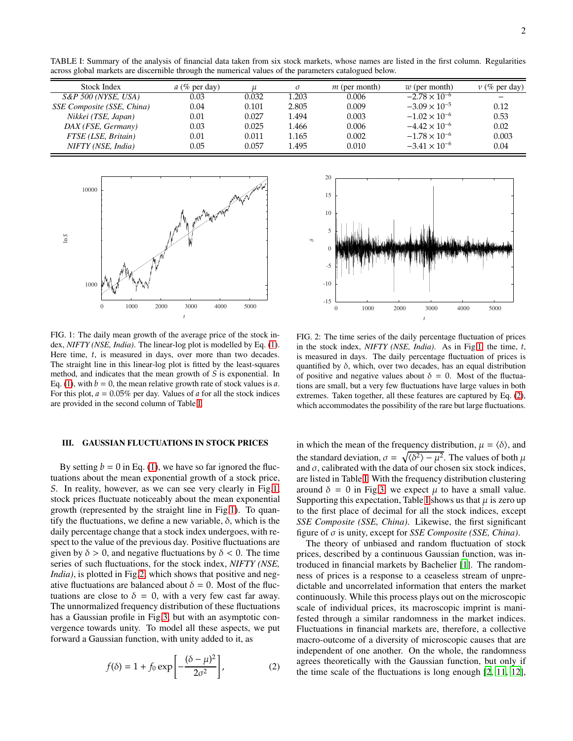<span id="page-1-1"></span>TABLE I: Summary of the analysis of financial data taken from six stock markets, whose names are listed in the first column. Regularities across global markets are discernible through the numerical values of the parameters catalogued below.

| Stock Index                | $a \ (\%$ per day) |       | $\sigma$ | $m$ (per month) | $w$ (per month)        | $\nu$ (% per day) |
|----------------------------|--------------------|-------|----------|-----------------|------------------------|-------------------|
| $S\&P$ 500 (NYSE, USA)     | 0.03               | 0.032 | 1.203    | 0.006           | $-2.78 \times 10^{-6}$ |                   |
| SSE Composite (SSE, China) | 0.04               | 0.101 | 2.805    | 0.009           | $-3.09 \times 10^{-5}$ | 0.12              |
| Nikkei (TSE, Japan)        | 0.01               | 0.027 | 1.494    | 0.003           | $-1.02 \times 10^{-6}$ | 0.53              |
| DAX (FSE, Germany)         | 0.03               | 0.025 | 1.466    | 0.006           | $-4.42 \times 10^{-6}$ | 0.02              |
| FTSE (LSE, Britain)        | 0.01               | 0.011 | 1.165    | 0.002           | $-1.78 \times 10^{-6}$ | 0.003             |
| NIFTY (NSE, India)         | 0.05               | 0.057 | 1.495    | 0.010           | $-3.41 \times 10^{-6}$ | 0.04              |



<span id="page-1-2"></span>FIG. 1: The daily mean growth of the average price of the stock index, *NIFTY (NSE, India)*. The linear-log plot is modelled by Eq. [\(1\)](#page-0-4). Here time, *t*, is measured in days, over more than two decades. The straight line in this linear-log plot is fitted by the least-squares method, and indicates that the mean growth of *S* is exponential. In Eq. [\(1\)](#page-0-4), with  $b = 0$ , the mean relative growth rate of stock values is *a*. For this plot, *a* = 0.05% per day. Values of *a* for all the stock indices are provided in the second column of Table [I.](#page-1-1)

#### <span id="page-1-0"></span>III. GAUSSIAN FLUCTUATIONS IN STOCK PRICES

By setting  $b = 0$  in Eq. [\(1\)](#page-0-4), we have so far ignored the fluctuations about the mean exponential growth of a stock price, *S*. In reality, however, as we can see very clearly in Fig[.1,](#page-1-2) stock prices fluctuate noticeably about the mean exponential growth (represented by the straight line in Fig[.1\)](#page-1-2). To quantify the fluctuations, we define a new variable,  $\delta$ , which is the daily percentage change that a stock index undergoes, with respect to the value of the previous day. Positive fluctuations are given by  $\delta > 0$ , and negative fluctuations by  $\delta < 0$ . The time series of such fluctuations, for the stock index, *NIFTY (NSE, India*), is plotted in Fig[.2,](#page-1-3) which shows that positive and negative fluctuations are balanced about  $\delta = 0$ . Most of the fluctuations are close to  $\delta = 0$ , with a very few cast far away. The unnormalized frequency distribution of these fluctuations has a Gaussian profile in Fig[.3,](#page-2-1) but with an asymptotic convergence towards unity. To model all these aspects, we put forward a Gaussian function, with unity added to it, as

<span id="page-1-4"></span>
$$
f(\delta) = 1 + f_0 \exp\left[-\frac{(\delta - \mu)^2}{2\sigma^2}\right],
$$
 (2)



<span id="page-1-3"></span>FIG. 2: The time series of the daily percentage fluctuation of prices in the stock index, *NIFTY (NSE, India)*. As in Fig[.1,](#page-1-2) the time, *t*, is measured in days. The daily percentage fluctuation of prices is quantified by  $\delta$ , which, over two decades, has an equal distribution of positive and negative values about  $\delta = 0$ . Most of the fluctuations are small, but a very few fluctuations have large values in both extremes. Taken together, all these features are captured by Eq. [\(2\)](#page-1-4), which accommodates the possibility of the rare but large fluctuations.

in which the mean of the frequency distribution,  $\mu = \langle \delta \rangle$ , and the standard deviation,  $\sigma = \sqrt{\langle \delta^2 \rangle - \mu^2}$ . The values of both  $\mu$ and  $\sigma$ , calibrated with the data of our chosen six stock indices, are listed in Table [I.](#page-1-1) With the frequency distribution clustering around  $\delta = 0$  in Fig[.3,](#page-2-1) we expect  $\mu$  to have a small value. Supporting this expectation, Table [I](#page-1-1) shows us that  $\mu$  is zero up to the first place of decimal for all the stock indices, except *SSE Composite (SSE, China)*. Likewise, the first significant figure of σ is unity, except for *SSE Composite (SSE, China)*.

The theory of unbiased and random fluctuation of stock prices, described by a continuous Gaussian function, was introduced in financial markets by Bachelier [\[1\]](#page-3-0). The randomness of prices is a response to a ceaseless stream of unpredictable and uncorrelated information that enters the market continuously. While this process plays out on the microscopic scale of individual prices, its macroscopic imprint is manifested through a similar randomness in the market indices. Fluctuations in financial markets are, therefore, a collective macro-outcome of a diversity of microscopic causes that are independent of one another. On the whole, the randomness agrees theoretically with the Gaussian function, but only if the time scale of the fluctuations is long enough [\[2,](#page-3-1) [11,](#page-3-10) [12](#page-3-11)],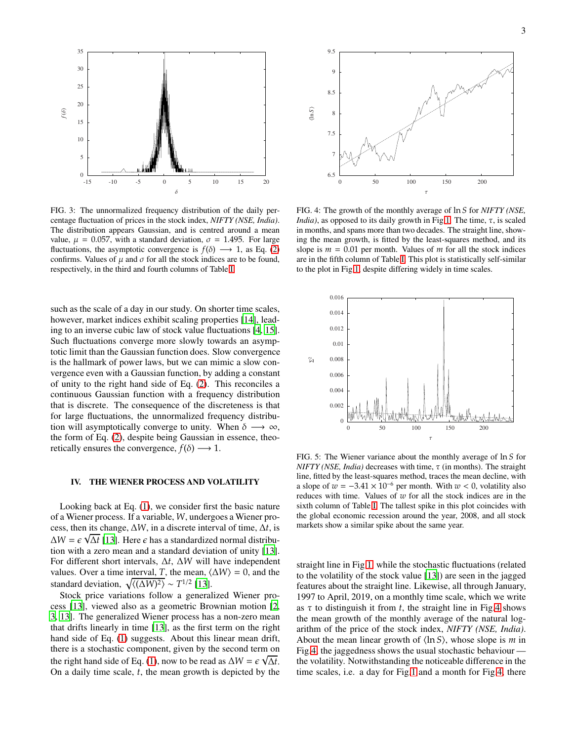

<span id="page-2-1"></span>FIG. 3: The unnormalized frequency distribution of the daily percentage fluctuation of prices in the stock index, *NIFTY (NSE, India)*. The distribution appears Gaussian, and is centred around a mean value,  $\mu = 0.057$ , with a standard deviation,  $\sigma = 1.495$ . For large fluctuations, the asymptotic convergence is  $f(\delta) \longrightarrow 1$ , as Eq. [\(2\)](#page-1-4) confirms. Values of  $\mu$  and  $\sigma$  for all the stock indices are to be found, respectively, in the third and fourth columns of Table [I.](#page-1-1)

such as the scale of a day in our study. On shorter time scales, however, market indices exhibit scaling properties [\[14\]](#page-3-14), leading to an inverse cubic law of stock value fluctuations [\[4](#page-3-3), [15](#page-3-15)]. Such fluctuations converge more slowly towards an asymptotic limit than the Gaussian function does. Slow convergence is the hallmark of power laws, but we can mimic a slow convergence even with a Gaussian function, by adding a constant of unity to the right hand side of Eq. [\(2\)](#page-1-4). This reconciles a continuous Gaussian function with a frequency distribution that is discrete. The consequence of the discreteness is that for large fluctuations, the unnormalized frequency distribution will asymptotically converge to unity. When  $\delta \longrightarrow \infty$ , the form of Eq. [\(2\)](#page-1-4), despite being Gaussian in essence, theoretically ensures the convergence,  $f(\delta) \longrightarrow 1$ .

#### <span id="page-2-0"></span>IV. THE WIENER PROCESS AND VOLATILITY

Looking back at Eq. [\(1\)](#page-0-4), we consider first the basic nature of a Wiener process. If a variable, *W*, undergoes a Wiener process, then its change, ∆*W*, in a discrete interval of time, ∆*t*, is  $\Delta W = \epsilon \sqrt{\Delta t}$  [\[13\]](#page-3-12). Here  $\epsilon$  has a standardized normal distribution with a zero mean and a standard deviation of unity [\[13](#page-3-12)]. For different short intervals, ∆*t*, ∆*W* will have independent values. Over a time interval, *T*, the mean,  $\langle \Delta W \rangle = 0$ , and the standard deviation,  $\sqrt{\langle (\Delta W)^2 \rangle} \sim T^{1/2}$  [\[13](#page-3-12)].

Stock price variations follow a generalized Wiener process [\[13\]](#page-3-12), viewed also as a geometric Brownian motion [\[2,](#page-3-1) [3](#page-3-2), [13](#page-3-12)]. The generalized Wiener process has a non-zero mean that drifts linearly in time [\[13](#page-3-12)], as the first term on the right hand side of Eq. [\(1\)](#page-0-4) suggests. About this linear mean drift, there is a stochastic component, given by the second term on the right hand side of Eq. [\(1\)](#page-0-4), now to be read as  $\Delta W = \epsilon \sqrt{\Delta t}$ . On a daily time scale, *t*, the mean growth is depicted by the



<span id="page-2-2"></span>FIG. 4: The growth of the monthly average of ln *S* for *NIFTY (NSE, India*), as opposed to its daily growth in Fig[.1.](#page-1-2) The time,  $\tau$ , is scaled in months, and spans more than two decades. The straight line, showing the mean growth, is fitted by the least-squares method, and its slope is  $m = 0.01$  per month. Values of  $m$  for all the stock indices are in the fifth column of Table [I.](#page-1-1) This plot is statistically self-similar to the plot in Fig[.1,](#page-1-2) despite differing widely in time scales.



<span id="page-2-3"></span>FIG. 5: The Wiener variance about the monthly average of ln *S* for *NIFTY (NSE, India)* decreases with time, τ (in months). The straight line, fitted by the least-squares method, traces the mean decline, with a slope of  $w = -3.41 \times 10^{-6}$  per month. With  $w < 0$ , volatility also reduces with time. Values of *w* for all the stock indices are in the sixth column of Table [I.](#page-1-1) The tallest spike in this plot coincides with the global economic recession around the year, 2008, and all stock markets show a similar spike about the same year.

straight line in Fig[.1,](#page-1-2) while the stochastic fluctuations (related to the volatility of the stock value [\[13\]](#page-3-12)) are seen in the jagged features about the straight line. Likewise, all through January, 1997 to April, 2019, on a monthly time scale, which we write as  $\tau$  to distinguish it from *t*, the straight line in Fig[.4](#page-2-2) shows the mean growth of the monthly average of the natural logarithm of the price of the stock index, *NIFTY (NSE, India)*. About the mean linear growth of  $\langle \ln S \rangle$ , whose slope is *m* in Fig[.4,](#page-2-2) the jaggedness shows the usual stochastic behaviour the volatility. Notwithstanding the noticeable difference in the time scales, i.e. a day for Fig[.1](#page-1-2) and a month for Fig[.4,](#page-2-2) there